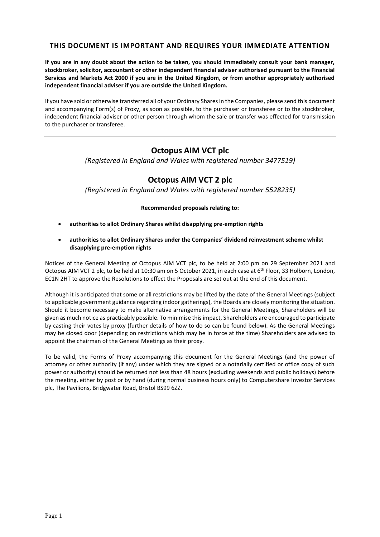# **THIS DOCUMENT IS IMPORTANT AND REQUIRES YOUR IMMEDIATE ATTENTION**

**If you are in any doubt about the action to be taken, you should immediately consult your bank manager, stockbroker, solicitor, accountant or other independent financial adviser authorised pursuant to the Financial Services and Markets Act 2000 if you are in the United Kingdom, or from another appropriately authorised independent financial adviser if you are outside the United Kingdom.**

If you have sold or otherwise transferred all of your Ordinary Shares in the Companies, please send this document and accompanying Form(s) of Proxy, as soon as possible, to the purchaser or transferee or to the stockbroker, independent financial adviser or other person through whom the sale or transfer was effected for transmission to the purchaser or transferee.

# **Octopus AIM VCT plc**

*(Registered in England and Wales with registered number 3477519)*

# **Octopus AIM VCT 2 plc**

*(Registered in England and Wales with registered number 5528235)*

**Recommended proposals relating to:** 

- **authorities to allot Ordinary Shares whilst disapplying pre-emption rights**
- **authorities to allot Ordinary Shares under the Companies' dividend reinvestment scheme whilst disapplying pre-emption rights**

Notices of the General Meeting of Octopus AIM VCT plc, to be held at 2:00 pm on 29 September 2021 and Octopus AIM VCT 2 plc, to be held at 10:30 am on 5 October 2021, in each case at 6<sup>th</sup> Floor, 33 Holborn, London, EC1N 2HT to approve the Resolutions to effect the Proposals are set out at the end of this document.

Although it is anticipated that some or all restrictions may be lifted by the date of the General Meetings (subject to applicable government guidance regarding indoor gatherings), the Boards are closely monitoring the situation. Should it become necessary to make alternative arrangements for the General Meetings, Shareholders will be given as much notice as practicably possible. To minimise this impact, Shareholders are encouraged to participate by casting their votes by proxy (further details of how to do so can be found below). As the General Meetings may be closed door (depending on restrictions which may be in force at the time) Shareholders are advised to appoint the chairman of the General Meetings as their proxy.

To be valid, the Forms of Proxy accompanying this document for the General Meetings (and the power of attorney or other authority (if any) under which they are signed or a notarially certified or office copy of such power or authority) should be returned not less than 48 hours (excluding weekends and public holidays) before the meeting, either by post or by hand (during normal business hours only) to Computershare Investor Services plc, The Pavilions, Bridgwater Road, Bristol BS99 6ZZ.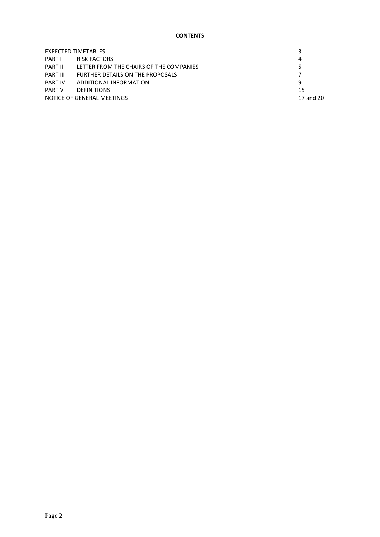# **CONTENTS**

| EXPECTED TIMETABLES        |                                         |           |
|----------------------------|-----------------------------------------|-----------|
| PARTI                      | <b>RISK FACTORS</b>                     | 4         |
| PART II                    | LETTER FROM THE CHAIRS OF THE COMPANIES | 5         |
| PART III                   | FURTHER DETAILS ON THE PROPOSALS        |           |
| <b>PART IV</b>             | ADDITIONAL INFORMATION                  | 9         |
| <b>PART V</b>              | <b>DEFINITIONS</b>                      | 15        |
| NOTICE OF GENERAL MEETINGS |                                         | 17 and 20 |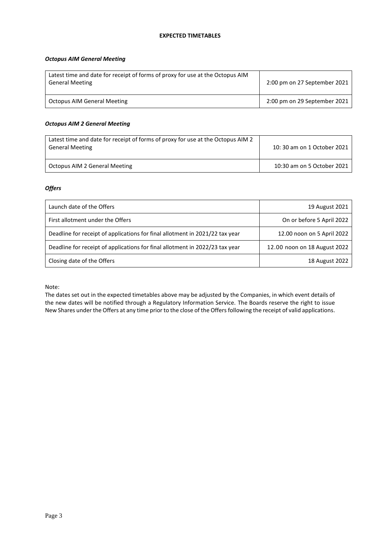## **EXPECTED TIMETABLES**

## *Octopus AIM General Meeting*

| Latest time and date for receipt of forms of proxy for use at the Octopus AIM<br><b>General Meeting</b> | 2:00 pm on 27 September 2021 |
|---------------------------------------------------------------------------------------------------------|------------------------------|
| Octopus AIM General Meeting                                                                             | 2:00 pm on 29 September 2021 |

## *Octopus AIM 2 General Meeting*

| Latest time and date for receipt of forms of proxy for use at the Octopus AIM 2<br><b>General Meeting</b> | 10:30 am on 1 October 2021 |
|-----------------------------------------------------------------------------------------------------------|----------------------------|
| Octopus AIM 2 General Meeting                                                                             | 10:30 am on 5 October 2021 |

# *Offers*

| Launch date of the Offers                                                    | 19 August 2021               |
|------------------------------------------------------------------------------|------------------------------|
| First allotment under the Offers                                             | On or before 5 April 2022    |
| Deadline for receipt of applications for final allotment in 2021/22 tax year | 12.00 noon on 5 April 2022   |
| Deadline for receipt of applications for final allotment in 2022/23 tax year | 12.00 noon on 18 August 2022 |
| Closing date of the Offers                                                   | 18 August 2022               |

Note:

The dates set out in the expected timetables above may be adjusted by the Companies, in which event details of the new dates will be notified through a Regulatory Information Service. The Boards reserve the right to issue New Shares under the Offers at any time prior to the close of the Offers following the receipt of valid applications.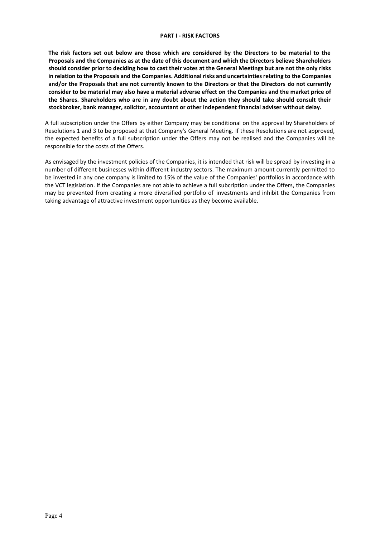#### **PART I - RISK FACTORS**

**The risk factors set out below are those which are considered by the Directors to be material to the Proposals and the Companies as at the date of this document and which the Directors believe Shareholders should consider prior to deciding how to cast their votes at the General Meetings but are not the only risks in relation to the Proposals and the Companies. Additional risks and uncertainties relating to the Companies and/or the Proposals that are not currently known to the Directors or that the Directors do not currently consider to be material may also have a material adverse effect on the Companies and the market price of the Shares. Shareholders who are in any doubt about the action they should take should consult their stockbroker, bank manager, solicitor, accountant or other independent financial adviser without delay.**

A full subscription under the Offers by either Company may be conditional on the approval by Shareholders of Resolutions 1 and 3 to be proposed at that Company's General Meeting. If these Resolutions are not approved, the expected benefits of a full subscription under the Offers may not be realised and the Companies will be responsible for the costs of the Offers.

As envisaged by the investment policies of the Companies, it is intended that risk will be spread by investing in a number of different businesses within different industry sectors. The maximum amount currently permitted to be invested in any one company is limited to 15% of the value of the Companies' portfolios in accordance with the VCT legislation. If the Companies are not able to achieve a full subcription under the Offers, the Companies may be prevented from creating a more diversified portfolio of investments and inhibit the Companies from taking advantage of attractive investment opportunities as they become available.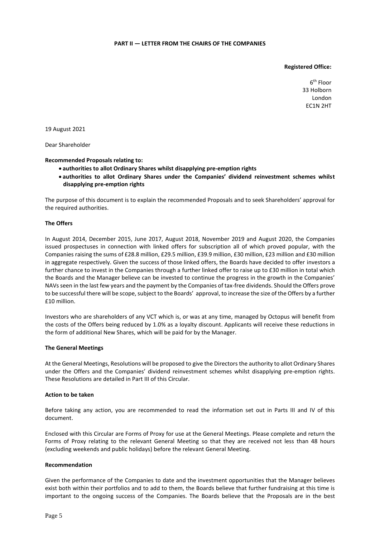#### **PART II — LETTER FROM THE CHAIRS OF THE COMPANIES**

**Registered Office:**

6 th Floor 33 Holborn London EC1N 2HT

19 August 2021

Dear Shareholder

#### **Recommended Proposals relating to:**

- **authorities to allot Ordinary Shares whilst disapplying pre-emption rights**
- **authorities to allot Ordinary Shares under the Companies' dividend reinvestment schemes whilst disapplying pre-emption rights**

The purpose of this document is to explain the recommended Proposals and to seek Shareholders' approval for the required authorities.

#### **The Offers**

In August 2014, December 2015, June 2017, August 2018, November 2019 and August 2020, the Companies issued prospectuses in connection with linked offers for subscription all of which proved popular, with the Companies raising the sums of £28.8 million, £29.5 million, £39.9 million, £30 million, £23 million and £30 million in aggregate respectively. Given the success of those linked offers, the Boards have decided to offer investors a further chance to invest in the Companies through a further linked offer to raise up to £30 million in total which the Boards and the Manager believe can be invested to continue the progress in the growth in the Companies' NAVs seen in the last few years and the payment by the Companies of tax-free dividends. Should the Offers prove to be successful there will be scope, subject to the Boards' approval, to increase the size of the Offers by a further £10 million.

Investors who are shareholders of any VCT which is, or was at any time, managed by Octopus will benefit from the costs of the Offers being reduced by 1.0% as a loyalty discount. Applicants will receive these reductions in the form of additional New Shares, which will be paid for by the Manager.

#### **The General Meetings**

At the General Meetings, Resolutions will be proposed to give the Directors the authority to allot Ordinary Shares under the Offers and the Companies' dividend reinvestment schemes whilst disapplying pre-emption rights. These Resolutions are detailed in Part III of this Circular.

#### **Action to be taken**

Before taking any action, you are recommended to read the information set out in Parts III and IV of this document.

Enclosed with this Circular are Forms of Proxy for use at the General Meetings. Please complete and return the Forms of Proxy relating to the relevant General Meeting so that they are received not less than 48 hours (excluding weekends and public holidays) before the relevant General Meeting.

#### **Recommendation**

Given the performance of the Companies to date and the investment opportunities that the Manager believes exist both within their portfolios and to add to them, the Boards believe that further fundraising at this time is important to the ongoing success of the Companies. The Boards believe that the Proposals are in the best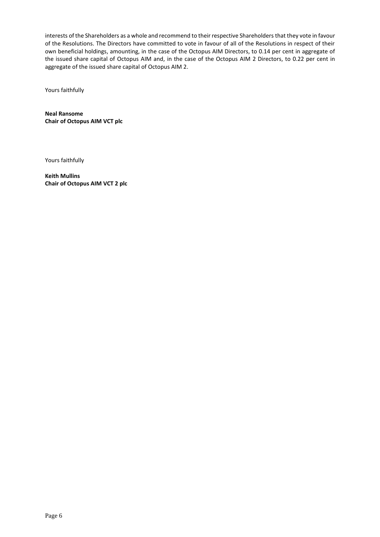interests of the Shareholders as a whole and recommend to their respective Shareholders that they vote in favour of the Resolutions. The Directors have committed to vote in favour of all of the Resolutions in respect of their own beneficial holdings, amounting, in the case of the Octopus AIM Directors, to 0.14 per cent in aggregate of the issued share capital of Octopus AIM and, in the case of the Octopus AIM 2 Directors, to 0.22 per cent in aggregate of the issued share capital of Octopus AIM 2.

Yours faithfully

**Neal Ransome Chair of Octopus AIM VCT plc**

Yours faithfully

**Keith Mullins Chair of Octopus AIM VCT 2 plc**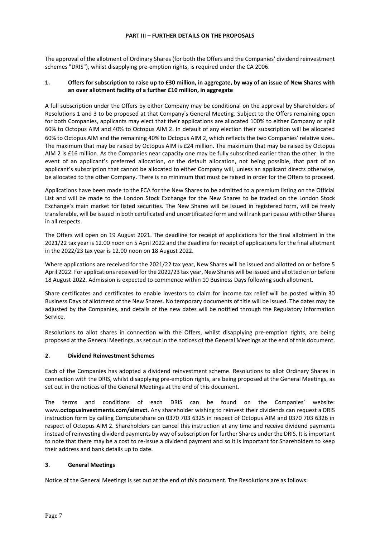## **PART III – FURTHER DETAILS ON THE PROPOSALS**

The approval of the allotment of Ordinary Shares (for both the Offers and the Companies' dividend reinvestment schemes "DRIS"), whilst disapplying pre-emption rights, is required under the CA 2006.

## **1. Offers for subscription to raise up to £30 million, in aggregate, by way of an issue of New Shares with an over allotment facility of a further £10 million, in aggregate**

A full subscription under the Offers by either Company may be conditional on the approval by Shareholders of Resolutions 1 and 3 to be proposed at that Company's General Meeting. Subject to the Offers remaining open for both Companies, applicants may elect that their applications are allocated 100% to either Company or split 60% to Octopus AIM and 40% to Octopus AIM 2. In default of any election their subscription will be allocated 60% to Octopus AIM and the remaining 40% to Octopus AIM 2, which reflects the two Companies' relative sizes. The maximum that may be raised by Octopus AIM is £24 million. The maximum that may be raised by Octopus AIM 2 is £16 million. As the Companies near capacity one may be fully subscribed earlier than the other. In the event of an applicant's preferred allocation, or the default allocation, not being possible, that part of an applicant's subscription that cannot be allocated to either Company will, unless an applicant directs otherwise, be allocated to the other Company. There is no minimum that must be raised in order for the Offers to proceed.

Applications have been made to the FCA for the New Shares to be admitted to a premium listing on the Official List and will be made to the London Stock Exchange for the New Shares to be traded on the London Stock Exchange's main market for listed securities. The New Shares will be issued in registered form, will be freely transferable, will be issued in both certificated and uncertificated form and will rank pari passu with other Shares in all respects.

The Offers will open on 19 August 2021. The deadline for receipt of applications for the final allotment in the 2021/22 tax year is 12.00 noon on 5 April 2022 and the deadline for receipt of applications for the final allotment in the 2022/23 tax year is 12.00 noon on 18 August 2022.

Where applications are received for the 2021/22 tax year, New Shares will be issued and allotted on or before 5 April 2022. For applications received for the 2022/23 tax year, New Shares will be issued and allotted on or before 18 August 2022. Admission is expected to commence within 10 Business Days following such allotment.

Share certificates and certificates to enable investors to claim for income tax relief will be posted within 30 Business Days of allotment of the New Shares. No temporary documents of title will be issued. The dates may be adjusted by the Companies, and details of the new dates will be notified through the Regulatory Information Service.

Resolutions to allot shares in connection with the Offers, whilst disapplying pre-emption rights, are being proposed at the General Meetings, as set out in the notices of the General Meetings at the end of this document.

# **2. Dividend Reinvestment Schemes**

Each of the Companies has adopted a dividend reinvestment scheme. Resolutions to allot Ordinary Shares in connection with the DRIS, whilst disapplying pre-emption rights, are being proposed at the General Meetings, as set out in the notices of the General Meetings at the end of this document.

The terms and conditions of each DRIS can be found on the Companies' website: www.**octopusinvestments.com/aimvct**. Any shareholder wishing to reinvest their dividends can request a DRIS instruction form by calling Computershare on 0370 703 6325 in respect of Octopus AIM and 0370 703 6326 in respect of Octopus AIM 2. Shareholders can cancel this instruction at any time and receive dividend payments instead of reinvesting dividend payments by way of subscription for further Shares under the DRIS. It is important to note that there may be a cost to re-issue a dividend payment and so it is important for Shareholders to keep their address and bank details up to date.

## **3. General Meetings**

Notice of the General Meetings is set out at the end of this document. The Resolutions are as follows: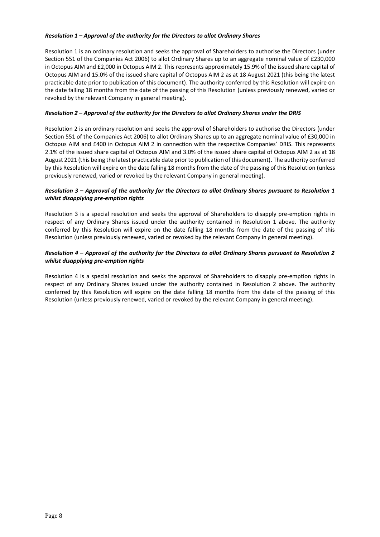## *Resolution 1 – Approval of the authority for the Directors to allot Ordinary Shares*

Resolution 1 is an ordinary resolution and seeks the approval of Shareholders to authorise the Directors (under Section 551 of the Companies Act 2006) to allot Ordinary Shares up to an aggregate nominal value of £230,000 in Octopus AIM and £2,000 in Octopus AIM 2. This represents approximately 15.9% of the issued share capital of Octopus AIM and 15.0% of the issued share capital of Octopus AIM 2 as at 18 August 2021 (this being the latest practicable date prior to publication of this document). The authority conferred by this Resolution will expire on the date falling 18 months from the date of the passing of this Resolution (unless previously renewed, varied or revoked by the relevant Company in general meeting).

# *Resolution 2 – Approval of the authority for the Directors to allot Ordinary Shares under the DRIS*

Resolution 2 is an ordinary resolution and seeks the approval of Shareholders to authorise the Directors (under Section 551 of the Companies Act 2006) to allot Ordinary Shares up to an aggregate nominal value of £30,000 in Octopus AIM and £400 in Octopus AIM 2 in connection with the respective Companies' DRIS. This represents 2.1% of the issued share capital of Octopus AIM and 3.0% of the issued share capital of Octopus AIM 2 as at 18 August 2021 (this being the latest practicable date prior to publication of this document). The authority conferred by this Resolution will expire on the date falling 18 months from the date of the passing of this Resolution (unless previously renewed, varied or revoked by the relevant Company in general meeting).

## *Resolution 3 – Approval of the authority for the Directors to allot Ordinary Shares pursuant to Resolution 1 whilst disapplying pre-emption rights*

Resolution 3 is a special resolution and seeks the approval of Shareholders to disapply pre-emption rights in respect of any Ordinary Shares issued under the authority contained in Resolution 1 above. The authority conferred by this Resolution will expire on the date falling 18 months from the date of the passing of this Resolution (unless previously renewed, varied or revoked by the relevant Company in general meeting).

# *Resolution 4 – Approval of the authority for the Directors to allot Ordinary Shares pursuant to Resolution 2 whilst disapplying pre-emption rights*

Resolution 4 is a special resolution and seeks the approval of Shareholders to disapply pre-emption rights in respect of any Ordinary Shares issued under the authority contained in Resolution 2 above. The authority conferred by this Resolution will expire on the date falling 18 months from the date of the passing of this Resolution (unless previously renewed, varied or revoked by the relevant Company in general meeting).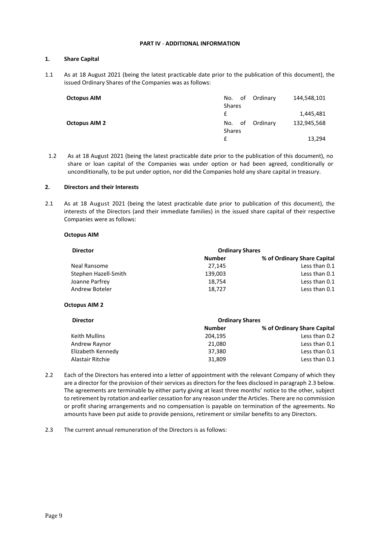#### **PART IV** - **ADDITIONAL INFORMATION**

## **1. Share Capital**

1.1 As at 18 August 2021 (being the latest practicable date prior to the publication of this document), the issued Ordinary Shares of the Companies was as follows:

| <b>Octopus AIM</b>   | Ordinary<br>- of<br>No.<br><b>Shares</b> | 144,548,101 |
|----------------------|------------------------------------------|-------------|
|                      | £                                        | 1,445,481   |
| <b>Octopus AIM 2</b> | No. of<br>Ordinary<br><b>Shares</b>      | 132,945,568 |
|                      |                                          | 13,294      |

1.2 As at 18 August 2021 (being the latest practicable date prior to the publication of this document), no share or loan capital of the Companies was under option or had been agreed, conditionally or unconditionally, to be put under option, nor did the Companies hold any share capital in treasury.

## **2. Directors and their Interests**

2.1 As at 18 August 2021 (being the latest practicable date prior to publication of this document), the interests of the Directors (and their immediate families) in the issued share capital of their respective Companies were as follows:

#### **Octopus AIM**

| <b>Director</b>      | <b>Ordinary Shares</b> |                             |
|----------------------|------------------------|-----------------------------|
|                      | <b>Number</b>          | % of Ordinary Share Capital |
| Neal Ransome         | 27.145                 | Less than 0.1               |
| Stephen Hazell-Smith | 139,003                | Less than 0.1               |
| Joanne Parfrey       | 18.754                 | Less than 0.1               |
| Andrew Boteler       | 18.727                 | Less than 0.1               |

## **Octopus AIM 2**

| <b>Director</b>   | <b>Ordinary Shares</b> |                             |
|-------------------|------------------------|-----------------------------|
|                   | <b>Number</b>          | % of Ordinary Share Capital |
| Keith Mullins     | 204.195                | Less than 0.2               |
| Andrew Raynor     | 21,080                 | Less than 0.1               |
| Elizabeth Kennedy | 37,380                 | Less than 0.1               |
| Alastair Ritchie  | 31,809                 | Less than 0.1               |

- 2.2 Each of the Directors has entered into a letter of appointment with the relevant Company of which they are a director for the provision of their services as directors for the fees disclosed in paragraph 2.3 below. The agreements are terminable by either party giving at least three months' notice to the other, subject to retirement by rotation and earlier cessation for any reason under the Articles. There are no commission or profit sharing arrangements and no compensation is payable on termination of the agreements. No amounts have been put aside to provide pensions, retirement or similar benefits to any Directors.
- 2.3 The current annual remuneration of the Directors is as follows: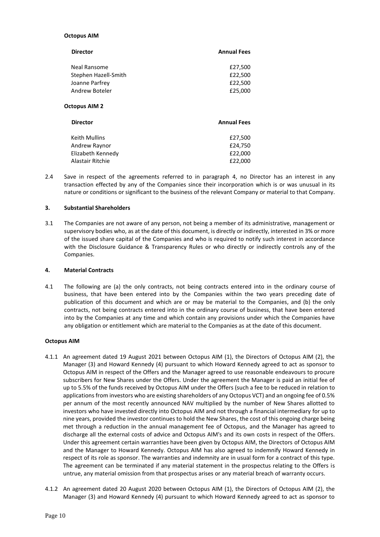#### **Octopus AIM**

| <b>Director</b>      | <b>Annual Fees</b> |
|----------------------|--------------------|
| Neal Ransome         | £27,500            |
| Stephen Hazell-Smith | £22,500            |
| Joanne Parfrey       | £22,500            |
| Andrew Boteler       | £25,000            |
| <b>Octopus AIM 2</b> |                    |
| <b>Director</b>      | <b>Annual Fees</b> |
| Keith Mullins        | £27,500            |

Andrew Raynor **E24,750** Elizabeth Kennedy **Elizabeth Kennedy Elizabeth Kennedy** Alastair Ritchie £22,000

2.4 Save in respect of the agreements referred to in paragraph 4, no Director has an interest in any transaction effected by any of the Companies since their incorporation which is or was unusual in its nature or conditions or significant to the business of the relevant Company or material to that Company.

## **3. Substantial Shareholders**

3.1 The Companies are not aware of any person, not being a member of its administrative, management or supervisory bodies who, as at the date of this document, is directly or indirectly, interested in 3% or more of the issued share capital of the Companies and who is required to notify such interest in accordance with the Disclosure Guidance & Transparency Rules or who directly or indirectly controls any of the Companies.

#### **4. Material Contracts**

4.1 The following are (a) the only contracts, not being contracts entered into in the ordinary course of business, that have been entered into by the Companies within the two years preceding date of publication of this document and which are or may be material to the Companies, and (b) the only contracts, not being contracts entered into in the ordinary course of business, that have been entered into by the Companies at any time and which contain any provisions under which the Companies have any obligation or entitlement which are material to the Companies as at the date of this document.

## **Octopus AIM**

- 4.1.1 An agreement dated 19 August 2021 between Octopus AIM (1), the Directors of Octopus AIM (2), the Manager (3) and Howard Kennedy (4) pursuant to which Howard Kennedy agreed to act as sponsor to Octopus AIM in respect of the Offers and the Manager agreed to use reasonable endeavours to procure subscribers for New Shares under the Offers. Under the agreement the Manager is paid an initial fee of up to 5.5% of the funds received by Octopus AIM under the Offers (such a fee to be reduced in relation to applications from investors who are existing shareholders of any Octopus VCT) and an ongoing fee of 0.5% per annum of the most recently announced NAV multiplied by the number of New Shares allotted to investors who have invested directly into Octopus AIM and not through a financial intermediary for up to nine years, provided the investor continues to hold the New Shares, the cost of this ongoing charge being met through a reduction in the annual management fee of Octopus, and the Manager has agreed to discharge all the external costs of advice and Octopus AIM's and its own costs in respect of the Offers. Under this agreement certain warranties have been given by Octopus AIM, the Directors of Octopus AIM and the Manager to Howard Kennedy. Octopus AIM has also agreed to indemnify Howard Kennedy in respect of its role as sponsor. The warranties and indemnity are in usual form for a contract of this type. The agreement can be terminated if any material statement in the prospectus relating to the Offers is untrue, any material omission from that prospectus arises or any material breach of warranty occurs.
- 4.1.2 An agreement dated 20 August 2020 between Octopus AIM (1), the Directors of Octopus AIM (2), the Manager (3) and Howard Kennedy (4) pursuant to which Howard Kennedy agreed to act as sponsor to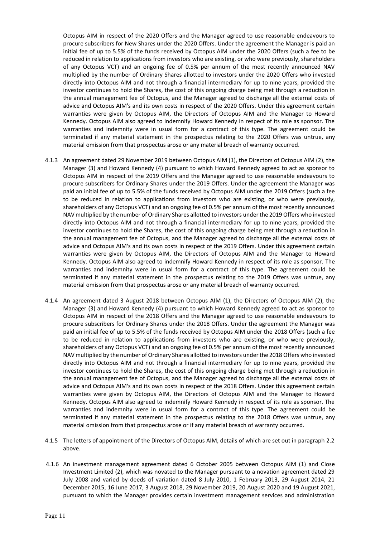Octopus AIM in respect of the 2020 Offers and the Manager agreed to use reasonable endeavours to procure subscribers for New Shares under the 2020 Offers. Under the agreement the Manager is paid an initial fee of up to 5.5% of the funds received by Octopus AIM under the 2020 Offers (such a fee to be reduced in relation to applications from investors who are existing, or who were previously, shareholders of any Octopus VCT) and an ongoing fee of 0.5% per annum of the most recently announced NAV multiplied by the number of Ordinary Shares allotted to investors under the 2020 Offers who invested directly into Octopus AIM and not through a financial intermediary for up to nine years, provided the investor continues to hold the Shares, the cost of this ongoing charge being met through a reduction in the annual management fee of Octopus, and the Manager agreed to discharge all the external costs of advice and Octopus AIM's and its own costs in respect of the 2020 Offers. Under this agreement certain warranties were given by Octopus AIM, the Directors of Octopus AIM and the Manager to Howard Kennedy. Octopus AIM also agreed to indemnify Howard Kennedy in respect of its role as sponsor. The warranties and indemnity were in usual form for a contract of this type. The agreement could be terminated if any material statement in the prospectus relating to the 2020 Offers was untrue, any material omission from that prospectus arose or any material breach of warranty occurred.

- 4.1.3 An agreement dated 29 November 2019 between Octopus AIM (1), the Directors of Octopus AIM (2), the Manager (3) and Howard Kennedy (4) pursuant to which Howard Kennedy agreed to act as sponsor to Octopus AIM in respect of the 2019 Offers and the Manager agreed to use reasonable endeavours to procure subscribers for Ordinary Shares under the 2019 Offers. Under the agreement the Manager was paid an initial fee of up to 5.5% of the funds received by Octopus AIM under the 2019 Offers (such a fee to be reduced in relation to applications from investors who are existing, or who were previously, shareholders of any Octopus VCT) and an ongoing fee of 0.5% per annum of the most recently announced NAV multiplied by the number of Ordinary Shares allotted to investors under the 2019 Offers who invested directly into Octopus AIM and not through a financial intermediary for up to nine years, provided the investor continues to hold the Shares, the cost of this ongoing charge being met through a reduction in the annual management fee of Octopus, and the Manager agreed to discharge all the external costs of advice and Octopus AIM's and its own costs in respect of the 2019 Offers. Under this agreement certain warranties were given by Octopus AIM, the Directors of Octopus AIM and the Manager to Howard Kennedy. Octopus AIM also agreed to indemnify Howard Kennedy in respect of its role as sponsor. The warranties and indemnity were in usual form for a contract of this type. The agreement could be terminated if any material statement in the prospectus relating to the 2019 Offers was untrue, any material omission from that prospectus arose or any material breach of warranty occurred.
- 4.1.4 An agreement dated 3 August 2018 between Octopus AIM (1), the Directors of Octopus AIM (2), the Manager (3) and Howard Kennedy (4) pursuant to which Howard Kennedy agreed to act as sponsor to Octopus AIM in respect of the 2018 Offers and the Manager agreed to use reasonable endeavours to procure subscribers for Ordinary Shares under the 2018 Offers. Under the agreement the Manager was paid an initial fee of up to 5.5% of the funds received by Octopus AIM under the 2018 Offers (such a fee to be reduced in relation to applications from investors who are existing, or who were previously, shareholders of any Octopus VCT) and an ongoing fee of 0.5% per annum of the most recently announced NAV multiplied by the number of Ordinary Shares allotted to investors under the 2018 Offers who invested directly into Octopus AIM and not through a financial intermediary for up to nine years, provided the investor continues to hold the Shares, the cost of this ongoing charge being met through a reduction in the annual management fee of Octopus, and the Manager agreed to discharge all the external costs of advice and Octopus AIM's and its own costs in respect of the 2018 Offers. Under this agreement certain warranties were given by Octopus AIM, the Directors of Octopus AIM and the Manager to Howard Kennedy. Octopus AIM also agreed to indemnify Howard Kennedy in respect of its role as sponsor. The warranties and indemnity were in usual form for a contract of this type. The agreement could be terminated if any material statement in the prospectus relating to the 2018 Offers was untrue, any material omission from that prospectus arose or if any material breach of warranty occurred.
- 4.1.5 The letters of appointment of the Directors of Octopus AIM, details of which are set out in paragraph 2.2 above.
- 4.1.6 An investment management agreement dated 6 October 2005 between Octopus AIM (1) and Close Investment Limited (2), which was novated to the Manager pursuant to a novation agreement dated 29 July 2008 and varied by deeds of variation dated 8 July 2010, 1 February 2013, 29 August 2014, 21 December 2015, 16 June 2017, 3 August 2018, 29 November 2019, 20 August 2020 and 19 August 2021, pursuant to which the Manager provides certain investment management services and administration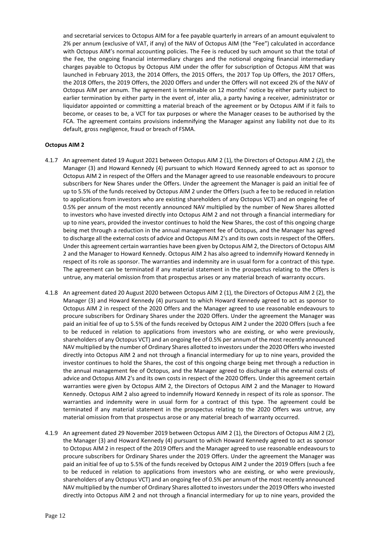and secretarial services to Octopus AIM for a fee payable quarterly in arrears of an amount equivalent to 2% per annum (exclusive of VAT, if any) of the NAV of Octopus AIM (the "Fee") calculated in accordance with Octopus AIM's normal accounting policies. The Fee is reduced by such amount so that the total of the Fee, the ongoing financial intermediary charges and the notional ongoing financial intermediary charges payable to Octopus by Octopus AIM under the offer for subscription of Octopus AIM that was launched in February 2013, the 2014 Offers, the 2015 Offers, the 2017 Top Up Offers, the 2017 Offers, the 2018 Offers, the 2019 Offers, the 2020 Offers and under the Offers will not exceed 2% of the NAV of Octopus AIM per annum. The agreement is terminable on 12 months' notice by either party subject to earlier termination by either party in the event of, inter alia, a party having a receiver, administrator or liquidator appointed or committing a material breach of the agreement or by Octopus AIM if it fails to become, or ceases to be, a VCT for tax purposes or where the Manager ceases to be authorised by the FCA. The agreement contains provisions indemnifying the Manager against any liability not due to its default, gross negligence, fraud or breach of FSMA.

## **Octopus AIM 2**

- 4.1.7 An agreement dated 19 August 2021 between Octopus AIM 2 (1), the Directors of Octopus AIM 2 (2), the Manager (3) and Howard Kennedy (4) pursuant to which Howard Kennedy agreed to act as sponsor to Octopus AIM 2 in respect of the Offers and the Manager agreed to use reasonable endeavours to procure subscribers for New Shares under the Offers. Under the agreement the Manager is paid an initial fee of up to 5.5% of the funds received by Octopus AIM 2 under the Offers (such a fee to be reduced in relation to applications from investors who are existing shareholders of any Octopus VCT) and an ongoing fee of 0.5% per annum of the most recently announced NAV multiplied by the number of New Shares allotted to investors who have invested directly into Octopus AIM 2 and not through a financial intermediary for up to nine years, provided the investor continues to hold the New Shares, the cost of this ongoing charge being met through a reduction in the annual management fee of Octopus, and the Manager has agreed to discharge all the external costs of advice and Octopus AIM 2's and its own costs in respect of the Offers. Under this agreement certain warranties have been given by Octopus AIM 2, the Directors of Octopus AIM 2 and the Manager to Howard Kennedy. Octopus AIM 2 has also agreed to indemnify Howard Kennedy in respect of its role as sponsor. The warranties and indemnity are in usual form for a contract of this type. The agreement can be terminated if any material statement in the prospectus relating to the Offers is untrue, any material omission from that prospectus arises or any material breach of warranty occurs.
- 4.1.8 An agreement dated 20 August 2020 between Octopus AIM 2 (1), the Directors of Octopus AIM 2 (2), the Manager (3) and Howard Kennedy (4) pursuant to which Howard Kennedy agreed to act as sponsor to Octopus AIM 2 in respect of the 2020 Offers and the Manager agreed to use reasonable endeavours to procure subscribers for Ordinary Shares under the 2020 Offers. Under the agreement the Manager was paid an initial fee of up to 5.5% of the funds received by Octopus AIM 2 under the 2020 Offers (such a fee to be reduced in relation to applications from investors who are existing, or who were previously, shareholders of any Octopus VCT) and an ongoing fee of 0.5% per annum of the most recently announced NAV multiplied by the number of Ordinary Shares allotted to investors under the 2020 Offers who invested directly into Octopus AIM 2 and not through a financial intermediary for up to nine years, provided the investor continues to hold the Shares, the cost of this ongoing charge being met through a reduction in the annual management fee of Octopus, and the Manager agreed to discharge all the external costs of advice and Octopus AIM 2's and its own costs in respect of the 2020 Offers. Under this agreement certain warranties were given by Octopus AIM 2, the Directors of Octopus AIM 2 and the Manager to Howard Kennedy. Octopus AIM 2 also agreed to indemnify Howard Kennedy in respect of its role as sponsor. The warranties and indemnity were in usual form for a contract of this type. The agreement could be terminated if any material statement in the prospectus relating to the 2020 Offers was untrue, any material omission from that prospectus arose or any material breach of warranty occurred.
- 4.1.9 An agreement dated 29 November 2019 between Octopus AIM 2 (1), the Directors of Octopus AIM 2 (2), the Manager (3) and Howard Kennedy (4) pursuant to which Howard Kennedy agreed to act as sponsor to Octopus AIM 2 in respect of the 2019 Offers and the Manager agreed to use reasonable endeavours to procure subscribers for Ordinary Shares under the 2019 Offers. Under the agreement the Manager was paid an initial fee of up to 5.5% of the funds received by Octopus AIM 2 under the 2019 Offers (such a fee to be reduced in relation to applications from investors who are existing, or who were previously, shareholders of any Octopus VCT) and an ongoing fee of 0.5% per annum of the most recently announced NAV multiplied by the number of Ordinary Shares allotted to investors under the 2019 Offers who invested directly into Octopus AIM 2 and not through a financial intermediary for up to nine years, provided the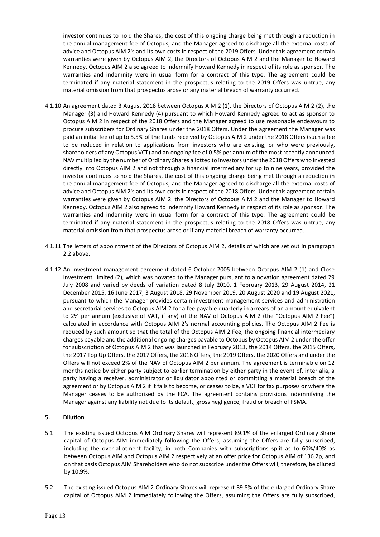investor continues to hold the Shares, the cost of this ongoing charge being met through a reduction in the annual management fee of Octopus, and the Manager agreed to discharge all the external costs of advice and Octopus AIM 2's and its own costs in respect of the 2019 Offers. Under this agreement certain warranties were given by Octopus AIM 2, the Directors of Octopus AIM 2 and the Manager to Howard Kennedy. Octopus AIM 2 also agreed to indemnify Howard Kennedy in respect of its role as sponsor. The warranties and indemnity were in usual form for a contract of this type. The agreement could be terminated if any material statement in the prospectus relating to the 2019 Offers was untrue, any material omission from that prospectus arose or any material breach of warranty occurred.

- 4.1.10 An agreement dated 3 August 2018 between Octopus AIM 2 (1), the Directors of Octopus AIM 2 (2), the Manager (3) and Howard Kennedy (4) pursuant to which Howard Kennedy agreed to act as sponsor to Octopus AIM 2 in respect of the 2018 Offers and the Manager agreed to use reasonable endeavours to procure subscribers for Ordinary Shares under the 2018 Offers. Under the agreement the Manager was paid an initial fee of up to 5.5% of the funds received by Octopus AIM 2 under the 2018 Offers (such a fee to be reduced in relation to applications from investors who are existing, or who were previously, shareholders of any Octopus VCT) and an ongoing fee of 0.5% per annum of the most recently announced NAV multiplied by the number of Ordinary Shares allotted to investors under the 2018 Offers who invested directly into Octopus AIM 2 and not through a financial intermediary for up to nine years, provided the investor continues to hold the Shares, the cost of this ongoing charge being met through a reduction in the annual management fee of Octopus, and the Manager agreed to discharge all the external costs of advice and Octopus AIM 2's and its own costs in respect of the 2018 Offers. Under this agreement certain warranties were given by Octopus AIM 2, the Directors of Octopus AIM 2 and the Manager to Howard Kennedy. Octopus AIM 2 also agreed to indemnify Howard Kennedy in respect of its role as sponsor. The warranties and indemnity were in usual form for a contract of this type. The agreement could be terminated if any material statement in the prospectus relating to the 2018 Offers was untrue, any material omission from that prospectus arose or if any material breach of warranty occurred.
- 4.1.11 The letters of appointment of the Directors of Octopus AIM 2, details of which are set out in paragraph 2.2 above.
- 4.1.12 An investment management agreement dated 6 October 2005 between Octopus AIM 2 (1) and Close Investment Limited (2), which was novated to the Manager pursuant to a novation agreement dated 29 July 2008 and varied by deeds of variation dated 8 July 2010, 1 February 2013, 29 August 2014, 21 December 2015, 16 June 2017, 3 August 2018, 29 November 2019, 20 August 2020 and 19 August 2021, pursuant to which the Manager provides certain investment management services and administration and secretarial services to Octopus AIM 2 for a fee payable quarterly in arrears of an amount equivalent to 2% per annum (exclusive of VAT, if any) of the NAV of Octopus AIM 2 (the "Octopus AIM 2 Fee") calculated in accordance with Octopus AIM 2's normal accounting policies. The Octopus AIM 2 Fee is reduced by such amount so that the total of the Octopus AIM 2 Fee, the ongoing financial intermediary charges payable and the additional ongoing charges payable to Octopus by Octopus AIM 2 under the offer for subscription of Octopus AIM 2 that was launched in February 2013, the 2014 Offers, the 2015 Offers, the 2017 Top Up Offers, the 2017 Offers, the 2018 Offers, the 2019 Offers, the 2020 Offers and under the Offers will not exceed 2% of the NAV of Octopus AIM 2 per annum. The agreement is terminable on 12 months notice by either party subject to earlier termination by either party in the event of, inter alia, a party having a receiver, administrator or liquidator appointed or committing a material breach of the agreement or by Octopus AIM 2 if it fails to become, or ceases to be, a VCT for tax purposes or where the Manager ceases to be authorised by the FCA. The agreement contains provisions indemnifying the Manager against any liability not due to its default, gross negligence, fraud or breach of FSMA.

# **5. Dilution**

- 5.1 The existing issued Octopus AIM Ordinary Shares will represent 89.1% of the enlarged Ordinary Share capital of Octopus AIM immediately following the Offers, assuming the Offers are fully subscribed, including the over-allotment facility, in both Companies with subscriptions split as to 60%/40% as between Octopus AIM and Octopus AIM 2 respectively at an offer price for Octopus AIM of 136.2p, and on that basis Octopus AIM Shareholders who do not subscribe under the Offers will, therefore, be diluted by 10.9%.
- 5.2 The existing issued Octopus AIM 2 Ordinary Shares will represent 89.8% of the enlarged Ordinary Share capital of Octopus AIM 2 immediately following the Offers, assuming the Offers are fully subscribed,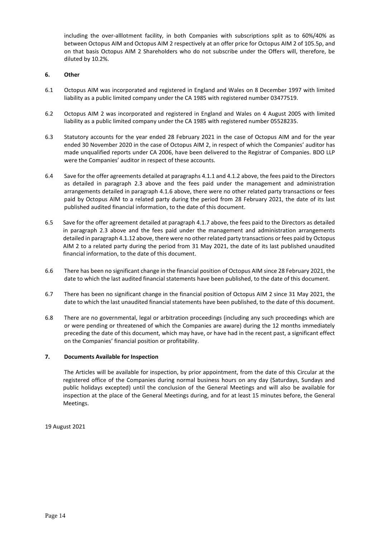including the over-alllotment facility, in both Companies with subscriptions split as to 60%/40% as between Octopus AIM and Octopus AIM 2 respectively at an offer price for Octopus AIM 2 of 105.5p, and on that basis Octopus AIM 2 Shareholders who do not subscribe under the Offers will, therefore, be diluted by 10.2%.

## **6. Other**

- 6.1 Octopus AIM was incorporated and registered in England and Wales on 8 December 1997 with limited liability as a public limited company under the CA 1985 with registered number 03477519.
- 6.2 Octopus AIM 2 was incorporated and registered in England and Wales on 4 August 2005 with limited liability as a public limited company under the CA 1985 with registered number 05528235.
- 6.3 Statutory accounts for the year ended 28 February 2021 in the case of Octopus AIM and for the year ended 30 November 2020 in the case of Octopus AIM 2, in respect of which the Companies' auditor has made unqualified reports under CA 2006, have been delivered to the Registrar of Companies. BDO LLP were the Companies' auditor in respect of these accounts.
- 6.4 Save for the offer agreements detailed at paragraphs 4.1.1 and 4.1.2 above, the fees paid to the Directors as detailed in paragraph 2.3 above and the fees paid under the management and administration arrangements detailed in paragraph 4.1.6 above, there were no other related party transactions or fees paid by Octopus AIM to a related party during the period from 28 February 2021, the date of its last published audited financial information, to the date of this document.
- 6.5 Save for the offer agreement detailed at paragraph 4.1.7 above, the fees paid to the Directors as detailed in paragraph 2.3 above and the fees paid under the management and administration arrangements detailed in paragraph 4.1.12 above, there were no other related party transactions or fees paid by Octopus AIM 2 to a related party during the period from 31 May 2021, the date of its last published unaudited financial information, to the date of this document.
- 6.6 There has been no significant change in the financial position of Octopus AIM since 28 February 2021, the date to which the last audited financial statements have been published, to the date of this document.
- 6.7 There has been no significant change in the financial position of Octopus AIM 2 since 31 May 2021, the date to which the last unaudited financial statements have been published, to the date of this document.
- 6.8 There are no governmental, legal or arbitration proceedings (including any such proceedings which are or were pending or threatened of which the Companies are aware) during the 12 months immediately preceding the date of this document, which may have, or have had in the recent past, a significant effect on the Companies' financial position or profitability.

## **7. Documents Available for Inspection**

The Articles will be available for inspection, by prior appointment, from the date of this Circular at the registered office of the Companies during normal business hours on any day (Saturdays, Sundays and public holidays excepted) until the conclusion of the General Meetings and will also be available for inspection at the place of the General Meetings during, and for at least 15 minutes before, the General Meetings.

19 August 2021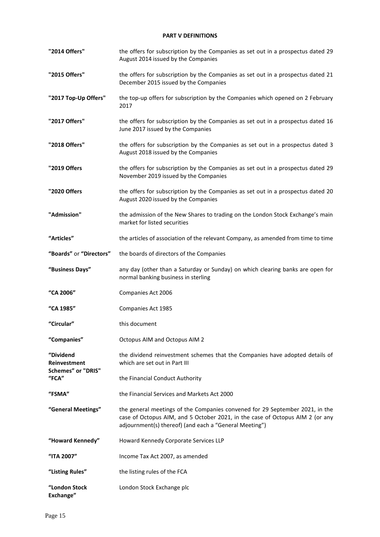# **PART V DEFINITIONS**

| "2014 Offers"                                   | the offers for subscription by the Companies as set out in a prospectus dated 29<br>August 2014 issued by the Companies                                                                                                 |
|-------------------------------------------------|-------------------------------------------------------------------------------------------------------------------------------------------------------------------------------------------------------------------------|
| "2015 Offers"                                   | the offers for subscription by the Companies as set out in a prospectus dated 21<br>December 2015 issued by the Companies                                                                                               |
| "2017 Top-Up Offers"                            | the top-up offers for subscription by the Companies which opened on 2 February<br>2017                                                                                                                                  |
| "2017 Offers"                                   | the offers for subscription by the Companies as set out in a prospectus dated 16<br>June 2017 issued by the Companies                                                                                                   |
| "2018 Offers"                                   | the offers for subscription by the Companies as set out in a prospectus dated 3<br>August 2018 issued by the Companies                                                                                                  |
| "2019 Offers                                    | the offers for subscription by the Companies as set out in a prospectus dated 29<br>November 2019 issued by the Companies                                                                                               |
| "2020 Offers                                    | the offers for subscription by the Companies as set out in a prospectus dated 20<br>August 2020 issued by the Companies                                                                                                 |
| "Admission"                                     | the admission of the New Shares to trading on the London Stock Exchange's main<br>market for listed securities                                                                                                          |
| "Articles"                                      | the articles of association of the relevant Company, as amended from time to time                                                                                                                                       |
| "Boards" or "Directors"                         | the boards of directors of the Companies                                                                                                                                                                                |
| "Business Days"                                 | any day (other than a Saturday or Sunday) on which clearing banks are open for<br>normal banking business in sterling                                                                                                   |
| "CA 2006"                                       | Companies Act 2006                                                                                                                                                                                                      |
| "CA 1985"                                       | Companies Act 1985                                                                                                                                                                                                      |
| "Circular"                                      | this document                                                                                                                                                                                                           |
| "Companies"                                     | <b>Octopus AIM and Octopus AIM 2</b>                                                                                                                                                                                    |
| "Dividend<br>Reinvestment<br>Schemes" or "DRIS" | the dividend reinvestment schemes that the Companies have adopted details of<br>which are set out in Part III                                                                                                           |
| "FCA"                                           | the Financial Conduct Authority                                                                                                                                                                                         |
| "FSMA"                                          | the Financial Services and Markets Act 2000                                                                                                                                                                             |
| "General Meetings"                              | the general meetings of the Companies convened for 29 September 2021, in the<br>case of Octopus AIM, and 5 October 2021, in the case of Octopus AIM 2 (or any<br>adjournment(s) thereof) (and each a "General Meeting") |
| "Howard Kennedy"                                | Howard Kennedy Corporate Services LLP                                                                                                                                                                                   |
| "ITA 2007"                                      | Income Tax Act 2007, as amended                                                                                                                                                                                         |
| "Listing Rules"                                 | the listing rules of the FCA                                                                                                                                                                                            |
| "London Stock<br>Exchange"                      | London Stock Exchange plc                                                                                                                                                                                               |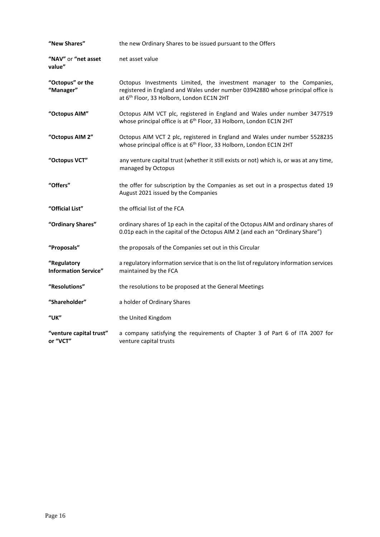| "New Shares"                               | the new Ordinary Shares to be issued pursuant to the Offers                                                                                                                                           |
|--------------------------------------------|-------------------------------------------------------------------------------------------------------------------------------------------------------------------------------------------------------|
| "NAV" or "net asset<br>value"              | net asset value                                                                                                                                                                                       |
| "Octopus" or the<br>"Manager"              | Octopus Investments Limited, the investment manager to the Companies,<br>registered in England and Wales under number 03942880 whose principal office is<br>at 6th Floor, 33 Holborn, London EC1N 2HT |
| "Octopus AIM"                              | Octopus AIM VCT plc, registered in England and Wales under number 3477519<br>whose principal office is at 6 <sup>th</sup> Floor, 33 Holborn, London EC1N 2HT                                          |
| "Octopus AIM 2"                            | Octopus AIM VCT 2 plc, registered in England and Wales under number 5528235<br>whose principal office is at 6 <sup>th</sup> Floor, 33 Holborn, London EC1N 2HT                                        |
| "Octopus VCT"                              | any venture capital trust (whether it still exists or not) which is, or was at any time,<br>managed by Octopus                                                                                        |
| "Offers"                                   | the offer for subscription by the Companies as set out in a prospectus dated 19<br>August 2021 issued by the Companies                                                                                |
| "Official List"                            | the official list of the FCA                                                                                                                                                                          |
| "Ordinary Shares"                          | ordinary shares of 1p each in the capital of the Octopus AIM and ordinary shares of<br>0.01p each in the capital of the Octopus AIM 2 (and each an "Ordinary Share")                                  |
| "Proposals"                                | the proposals of the Companies set out in this Circular                                                                                                                                               |
| "Regulatory<br><b>Information Service"</b> | a regulatory information service that is on the list of regulatory information services<br>maintained by the FCA                                                                                      |
| "Resolutions"                              | the resolutions to be proposed at the General Meetings                                                                                                                                                |
| "Shareholder"                              | a holder of Ordinary Shares                                                                                                                                                                           |
| "ик"                                       | the United Kingdom                                                                                                                                                                                    |
| "venture capital trust"<br>or "VCT"        | a company satisfying the requirements of Chapter 3 of Part 6 of ITA 2007 for<br>venture capital trusts                                                                                                |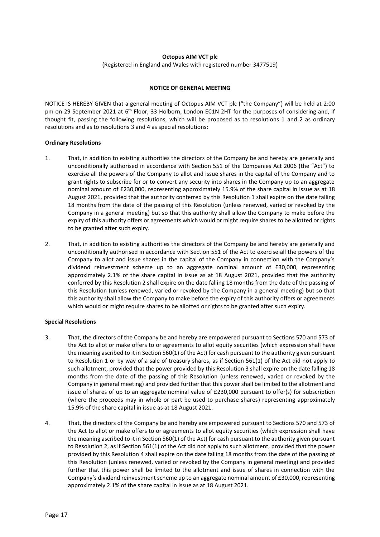#### **Octopus AIM VCT plc**

(Registered in England and Wales with registered number 3477519)

#### **NOTICE OF GENERAL MEETING**

NOTICE IS HEREBY GIVEN that a general meeting of Octopus AIM VCT plc ("the Company") will be held at 2:00 pm on 29 September 2021 at 6<sup>th</sup> Floor, 33 Holborn, London EC1N 2HT for the purposes of considering and, if thought fit, passing the following resolutions, which will be proposed as to resolutions 1 and 2 as ordinary resolutions and as to resolutions 3 and 4 as special resolutions:

#### **Ordinary Resolutions**

- 1. That, in addition to existing authorities the directors of the Company be and hereby are generally and unconditionally authorised in accordance with Section 551 of the Companies Act 2006 (the "Act") to exercise all the powers of the Company to allot and issue shares in the capital of the Company and to grant rights to subscribe for or to convert any security into shares in the Company up to an aggregate nominal amount of £230,000, representing approximately 15.9% of the share capital in issue as at 18 August 2021, provided that the authority conferred by this Resolution 1 shall expire on the date falling 18 months from the date of the passing of this Resolution (unless renewed, varied or revoked by the Company in a general meeting) but so that this authority shall allow the Company to make before the expiry of this authority offers or agreements which would or might require shares to be allotted or rights to be granted after such expiry.
- 2. That, in addition to existing authorities the directors of the Company be and hereby are generally and unconditionally authorised in accordance with Section 551 of the Act to exercise all the powers of the Company to allot and issue shares in the capital of the Company in connection with the Company's dividend reinvestment scheme up to an aggregate nominal amount of £30,000, representing approximately 2.1% of the share capital in issue as at 18 August 2021, provided that the authority conferred by this Resolution 2 shall expire on the date falling 18 months from the date of the passing of this Resolution (unless renewed, varied or revoked by the Company in a general meeting) but so that this authority shall allow the Company to make before the expiry of this authority offers or agreements which would or might require shares to be allotted or rights to be granted after such expiry.

#### **Special Resolutions**

- 3. That, the directors of the Company be and hereby are empowered pursuant to Sections 570 and 573 of the Act to allot or make offers to or agreements to allot equity securities (which expression shall have the meaning ascribed to it in Section 560(1) of the Act) for cash pursuant to the authority given pursuant to Resolution 1 or by way of a sale of treasury shares, as if Section 561(1) of the Act did not apply to such allotment, provided that the power provided by this Resolution 3 shall expire on the date falling 18 months from the date of the passing of this Resolution (unless renewed, varied or revoked by the Company in general meeting) and provided further that this power shall be limited to the allotment and issue of shares of up to an aggregate nominal value of £230,000 pursuant to offer(s) for subscription (where the proceeds may in whole or part be used to purchase shares) representing approximately 15.9% of the share capital in issue as at 18 August 2021.
- 4. That, the directors of the Company be and hereby are empowered pursuant to Sections 570 and 573 of the Act to allot or make offers to or agreements to allot equity securities (which expression shall have the meaning ascribed to it in Section 560(1) of the Act) for cash pursuant to the authority given pursuant to Resolution 2, as if Section 561(1) of the Act did not apply to such allotment, provided that the power provided by this Resolution 4 shall expire on the date falling 18 months from the date of the passing of this Resolution (unless renewed, varied or revoked by the Company in general meeting) and provided further that this power shall be limited to the allotment and issue of shares in connection with the Company's dividend reinvestment scheme up to an aggregate nominal amount of £30,000, representing approximately 2.1% of the share capital in issue as at 18 August 2021.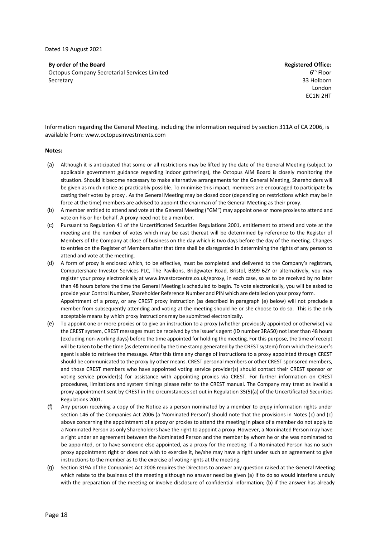Dated 19 August 2021

**By order of the Board Registered Office: Registered Office: Registered Office:** 

Octopus Company Secretarial Services Limited Secretary

6 th Floor 33 Holborn London EC1N 2HT

Information regarding the General Meeting, including the information required by section 311A of CA 2006, is available from: www.octopusinvestments.com

#### **Notes:**

- (a) Although it is anticipated that some or all restrictions may be lifted by the date of the General Meeting (subject to applicable government guidance regarding indoor gatherings), the Octopus AIM Board is closely monitoring the situation. Should it become necessary to make alternative arrangements for the General Meeting, Shareholders will be given as much notice as practicably possible. To minimise this impact, members are encouraged to participate by casting their votes by proxy . As the General Meeting may be closed door (depending on restrictions which may be in force at the time) members are advised to appoint the chairman of the General Meeting as their proxy.
- (b) A member entitled to attend and vote at the General Meeting ("GM") may appoint one or more proxies to attend and vote on his or her behalf. A proxy need not be a member.
- (c) Pursuant to Regulation 41 of the Uncertificated Securities Regulations 2001, entitlement to attend and vote at the meeting and the number of votes which may be cast thereat will be determined by reference to the Register of Members of the Company at close of business on the day which is two days before the day of the meeting. Changes to entries on the Register of Members after that time shall be disregarded in determining the rights of any person to attend and vote at the meeting.
- (d) A form of proxy is enclosed which, to be effective, must be completed and delivered to the Company's registrars, Computershare Investor Services PLC, The Pavilions, Bridgwater Road, Bristol, BS99 6ZY or alternatively, you may register your proxy electronically a[t www.investorcentre.co.uk/eproxy,](http://www.investorcentre.co.uk/eproxy) in each case, so as to be received by no later than 48 hours before the time the General Meeting is scheduled to begin. To vote electronically, you will be asked to provide your Control Number, Shareholder Reference Number and PIN which are detailed on your proxy form. Appointment of a proxy, or any CREST proxy instruction (as described in paragraph (e) below) will not preclude a member from subsequently attending and voting at the meeting should he or she choose to do so. This is the only acceptable means by which proxy instructions may be submitted electronically.
- (e) To appoint one or more proxies or to give an instruction to a proxy (whether previously appointed or otherwise) via the CREST system, CREST messages must be received by the issuer's agent (ID number 3RA50) not later than 48 hours (excluding non-working days) before the time appointed for holding the meeting. For this purpose, the time of receipt will be taken to be the time (as determined by the time stamp generated by the CREST system) from which the issuer's agent is able to retrieve the message. After this time any change of instructions to a proxy appointed through CREST should be communicated to the proxy by other means. CREST personal members or other CREST sponsored members, and those CREST members who have appointed voting service provider(s) should contact their CREST sponsor or voting service provider(s) for assistance with appointing proxies via CREST. For further information on CREST procedures, limitations and system timings please refer to the CREST manual. The Company may treat as invalid a proxy appointment sent by CREST in the circumstances set out in Regulation 35(5)(a) of the Uncertificated Securities Regulations 2001.
- (f) Any person receiving a copy of the Notice as a person nominated by a member to enjoy information rights under section 146 of the Companies Act 2006 (a 'Nominated Person') should note that the provisions in Notes (c) and (c) above concerning the appointment of a proxy or proxies to attend the meeting in place of a member do not apply to a Nominated Person as only Shareholders have the right to appoint a proxy. However, a Nominated Person may have a right under an agreement between the Nominated Person and the member by whom he or she was nominated to be appointed, or to have someone else appointed, as a proxy for the meeting. If a Nominated Person has no such proxy appointment right or does not wish to exercise it, he/she may have a right under such an agreement to give instructions to the member as to the exercise of voting rights at the meeting.
- (g) Section 319A of the Companies Act 2006 requires the Directors to answer any question raised at the General Meeting which relate to the business of the meeting although no answer need be given (a) if to do so would interfere unduly with the preparation of the meeting or involve disclosure of confidential information; (b) if the answer has already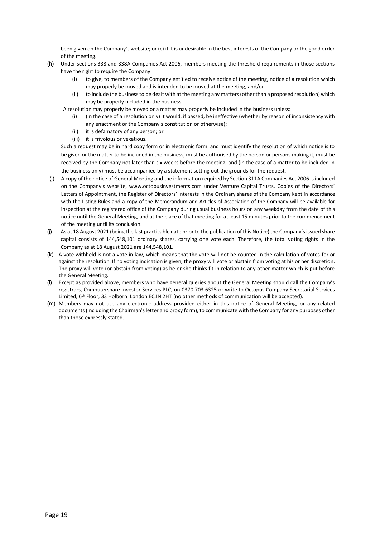been given on the Company's website; or (c) if it is undesirable in the best interests of the Company or the good order of the meeting.

- (h) Under sections 338 and 338A Companies Act 2006, members meeting the threshold requirements in those sections have the right to require the Company:
	- (i) to give, to members of the Company entitled to receive notice of the meeting, notice of a resolution which may properly be moved and is intended to be moved at the meeting, and/or
	- (ii) to include the business to be dealt with at the meeting any matters (other than a proposed resolution) which may be properly included in the business.
	- A resolution may properly be moved or a matter may properly be included in the business unless:
		- (i) (in the case of a resolution only) it would, if passed, be ineffective (whether by reason of inconsistency with any enactment or the Company's constitution or otherwise);
		- (ii) it is defamatory of any person; or
		- (iii) it is frivolous or vexatious.

Such a request may be in hard copy form or in electronic form, and must identify the resolution of which notice is to be given or the matter to be included in the business, must be authorised by the person or persons making it, must be received by the Company not later than six weeks before the meeting, and (in the case of a matter to be included in the business only) must be accompanied by a statement setting out the grounds for the request.

- (i) A copy of the notice of General Meeting and the information required by Section 311A Companies Act 2006 is included on the Company's website, www.octopusinvestments.com under Venture Capital Trusts. Copies of the Directors' Letters of Appointment, the Register of Directors' Interests in the Ordinary shares of the Company kept in accordance with the Listing Rules and a copy of the Memorandum and Articles of Association of the Company will be available for inspection at the registered office of the Company during usual business hours on any weekday from the date of this notice until the General Meeting, and at the place of that meeting for at least 15 minutes prior to the commencement of the meeting until its conclusion.
- (j) As at 18 August 2021 (being the last practicable date prior to the publication of this Notice) the Company's issued share capital consists of 144,548,101 ordinary shares, carrying one vote each. Therefore, the total voting rights in the Company as at 18 August 2021 are 144,548,101.
- (k) A vote withheld is not a vote in law, which means that the vote will not be counted in the calculation of votes for or against the resolution. If no voting indication is given, the proxy will vote or abstain from voting at his or her discretion. The proxy will vote (or abstain from voting) as he or she thinks fit in relation to any other matter which is put before the General Meeting.
- (l) Except as provided above, members who have general queries about the General Meeting should call the Company's registrars, Computershare Investor Services PLC, on 0370 703 6325 or write to Octopus Company Secretarial Services Limited, 6th Floor, 33 Holborn, London EC1N 2HT (no other methods of communication will be accepted).
- (m) Members may not use any electronic address provided either in this notice of General Meeting, or any related documents (including the Chairman's letter and proxy form), to communicate with the Company for any purposes other than those expressly stated.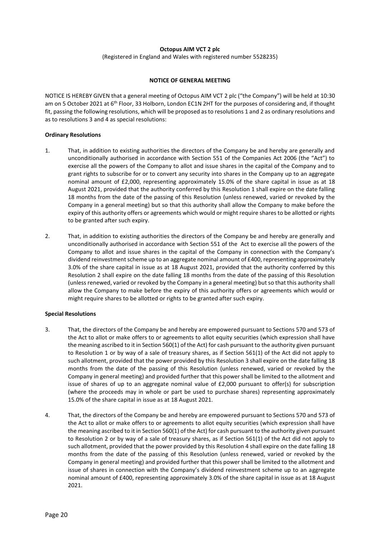# **Octopus AIM VCT 2 plc**

(Registered in England and Wales with registered number 5528235)

## **NOTICE OF GENERAL MEETING**

NOTICE IS HEREBY GIVEN that a general meeting of Octopus AIM VCT 2 plc ("the Company") will be held at 10:30 am on 5 October 2021 at 6<sup>th</sup> Floor, 33 Holborn, London EC1N 2HT for the purposes of considering and, if thought fit, passing the following resolutions, which will be proposed as to resolutions 1 and 2 as ordinary resolutions and as to resolutions 3 and 4 as special resolutions:

## **Ordinary Resolutions**

- 1. That, in addition to existing authorities the directors of the Company be and hereby are generally and unconditionally authorised in accordance with Section 551 of the Companies Act 2006 (the "Act") to exercise all the powers of the Company to allot and issue shares in the capital of the Company and to grant rights to subscribe for or to convert any security into shares in the Company up to an aggregate nominal amount of £2,000, representing approximately 15.0% of the share capital in issue as at 18 August 2021, provided that the authority conferred by this Resolution 1 shall expire on the date falling 18 months from the date of the passing of this Resolution (unless renewed, varied or revoked by the Company in a general meeting) but so that this authority shall allow the Company to make before the expiry of this authority offers or agreements which would or might require shares to be allotted or rights to be granted after such expiry.
- 2. That, in addition to existing authorities the directors of the Company be and hereby are generally and unconditionally authorised in accordance with Section 551 of the Act to exercise all the powers of the Company to allot and issue shares in the capital of the Company in connection with the Company's dividend reinvestment scheme up to an aggregate nominal amount of £400, representing approximately 3.0% of the share capital in issue as at 18 August 2021, provided that the authority conferred by this Resolution 2 shall expire on the date falling 18 months from the date of the passing of this Resolution (unless renewed, varied or revoked by the Company in a general meeting) but so that this authority shall allow the Company to make before the expiry of this authority offers or agreements which would or might require shares to be allotted or rights to be granted after such expiry.

## **Special Resolutions**

- 3. That, the directors of the Company be and hereby are empowered pursuant to Sections 570 and 573 of the Act to allot or make offers to or agreements to allot equity securities (which expression shall have the meaning ascribed to it in Section 560(1) of the Act) for cash pursuant to the authority given pursuant to Resolution 1 or by way of a sale of treasury shares, as if Section 561(1) of the Act did not apply to such allotment, provided that the power provided by this Resolution 3 shall expire on the date falling 18 months from the date of the passing of this Resolution (unless renewed, varied or revoked by the Company in general meeting) and provided further that this power shall be limited to the allotment and issue of shares of up to an aggregate nominal value of £2,000 pursuant to offer(s) for subscription (where the proceeds may in whole or part be used to purchase shares) representing approximately 15.0% of the share capital in issue as at 18 August 2021.
- 4. That, the directors of the Company be and hereby are empowered pursuant to Sections 570 and 573 of the Act to allot or make offers to or agreements to allot equity securities (which expression shall have the meaning ascribed to it in Section 560(1) of the Act) for cash pursuant to the authority given pursuant to Resolution 2 or by way of a sale of treasury shares, as if Section 561(1) of the Act did not apply to such allotment, provided that the power provided by this Resolution 4 shall expire on the date falling 18 months from the date of the passing of this Resolution (unless renewed, varied or revoked by the Company in general meeting) and provided further that this power shall be limited to the allotment and issue of shares in connection with the Company's dividend reinvestment scheme up to an aggregate nominal amount of £400, representing approximately 3.0% of the share capital in issue as at 18 August 2021.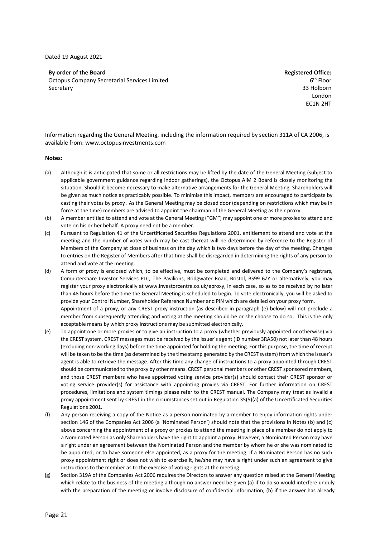Dated 19 August 2021

**By order of the Board Registered Office: Registered Office: Registered Office:** 

Octopus Company Secretarial Services Limited Secretary

6 th Floor 33 Holborn London EC1N 2HT

Information regarding the General Meeting, including the information required by section 311A of CA 2006, is available from: www.octopusinvestments.com

#### **Notes:**

- (a) Although it is anticipated that some or all restrictions may be lifted by the date of the General Meeting (subject to applicable government guidance regarding indoor gatherings), the Octopus AIM 2 Board is closely monitoring the situation. Should it become necessary to make alternative arrangements for the General Meeting, Shareholders will be given as much notice as practicably possible. To minimise this impact, members are encouraged to participate by casting their votes by proxy . As the General Meeting may be closed door (depending on restrictions which may be in force at the time) members are advised to appoint the chairman of the General Meeting as their proxy.
- (b) A member entitled to attend and vote at the General Meeting ("GM") may appoint one or more proxies to attend and vote on his or her behalf. A proxy need not be a member.
- (c) Pursuant to Regulation 41 of the Uncertificated Securities Regulations 2001, entitlement to attend and vote at the meeting and the number of votes which may be cast thereat will be determined by reference to the Register of Members of the Company at close of business on the day which is two days before the day of the meeting. Changes to entries on the Register of Members after that time shall be disregarded in determining the rights of any person to attend and vote at the meeting.
- (d) A form of proxy is enclosed which, to be effective, must be completed and delivered to the Company's registrars, Computershare Investor Services PLC, The Pavilions, Bridgwater Road, Bristol, BS99 6ZY or alternatively, you may register your proxy electronically a[t www.investorcentre.co.uk/eproxy,](http://www.investorcentre.co.uk/eproxy) in each case, so as to be received by no later than 48 hours before the time the General Meeting is scheduled to begin. To vote electronically, you will be asked to provide your Control Number, Shareholder Reference Number and PIN which are detailed on your proxy form. Appointment of a proxy, or any CREST proxy instruction (as described in paragraph (e) below) will not preclude a member from subsequently attending and voting at the meeting should he or she choose to do so. This is the only acceptable means by which proxy instructions may be submitted electronically.
- (e) To appoint one or more proxies or to give an instruction to a proxy (whether previously appointed or otherwise) via the CREST system, CREST messages must be received by the issuer's agent (ID number 3RA50) not later than 48 hours (excluding non-working days) before the time appointed for holding the meeting. For this purpose, the time of receipt will be taken to be the time (as determined by the time stamp generated by the CREST system) from which the issuer's agent is able to retrieve the message. After this time any change of instructions to a proxy appointed through CREST should be communicated to the proxy by other means. CREST personal members or other CREST sponsored members, and those CREST members who have appointed voting service provider(s) should contact their CREST sponsor or voting service provider(s) for assistance with appointing proxies via CREST. For further information on CREST procedures, limitations and system timings please refer to the CREST manual. The Company may treat as invalid a proxy appointment sent by CREST in the circumstances set out in Regulation 35(5)(a) of the Uncertificated Securities Regulations 2001.
- (f) Any person receiving a copy of the Notice as a person nominated by a member to enjoy information rights under section 146 of the Companies Act 2006 (a 'Nominated Person') should note that the provisions in Notes (b) and (c) above concerning the appointment of a proxy or proxies to attend the meeting in place of a member do not apply to a Nominated Person as only Shareholders have the right to appoint a proxy. However, a Nominated Person may have a right under an agreement between the Nominated Person and the member by whom he or she was nominated to be appointed, or to have someone else appointed, as a proxy for the meeting. If a Nominated Person has no such proxy appointment right or does not wish to exercise it, he/she may have a right under such an agreement to give instructions to the member as to the exercise of voting rights at the meeting.
- (g) Section 319A of the Companies Act 2006 requires the Directors to answer any question raised at the General Meeting which relate to the business of the meeting although no answer need be given (a) if to do so would interfere unduly with the preparation of the meeting or involve disclosure of confidential information; (b) if the answer has already